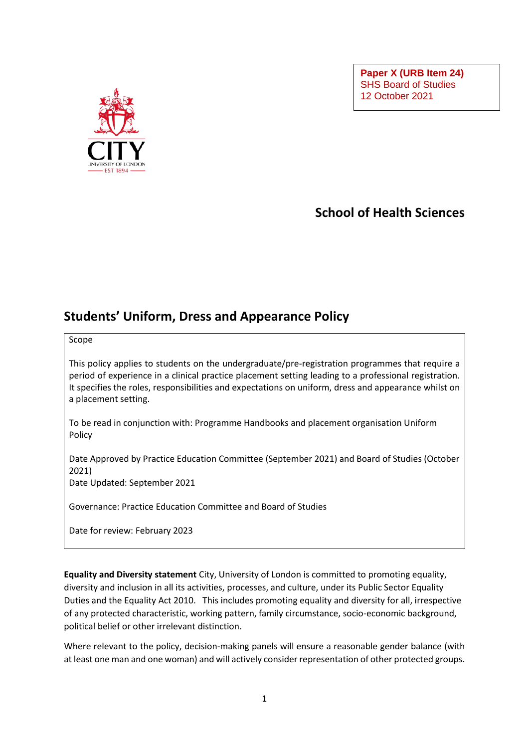**Paper X (URB Item 24)** SHS Board of Studies 12 October 2021



## **School of Health Sciences**

## **Students' Uniform, Dress and Appearance Policy**

Scope

This policy applies to students on the undergraduate/pre-registration programmes that require a period of experience in a clinical practice placement setting leading to a professional registration. It specifies the roles, responsibilities and expectations on uniform, dress and appearance whilst on a placement setting.

To be read in conjunction with: Programme Handbooks and placement organisation Uniform Policy

Date Approved by Practice Education Committee (September 2021) and Board of Studies (October 2021)

Date Updated: September 2021

Governance: Practice Education Committee and Board of Studies

Date for review: February 2023

**Equality and Diversity statement** City, University of London is committed to promoting equality, diversity and inclusion in all its activities, processes, and culture, under its Public Sector Equality Duties and the Equality Act 2010. This includes promoting equality and diversity for all, irrespective of any protected characteristic, working pattern, family circumstance, socio-economic background, political belief or other irrelevant distinction.

Where relevant to the policy, decision-making panels will ensure a reasonable gender balance (with at least one man and one woman) and will actively consider representation of other protected groups.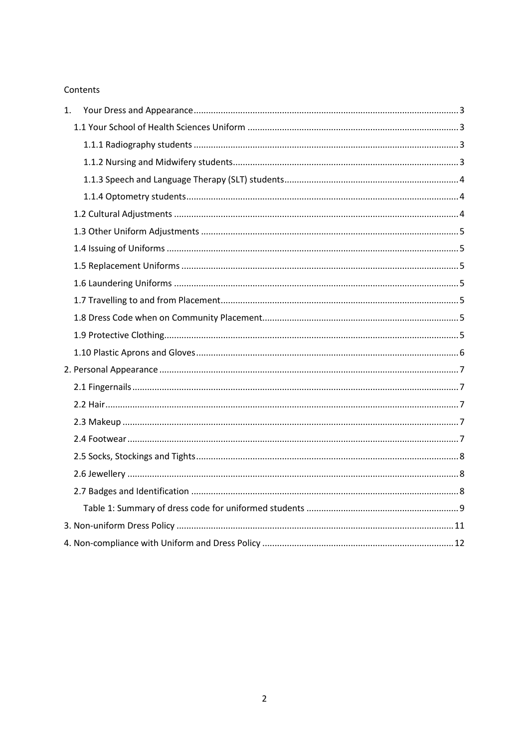#### Contents

| 1. |  |
|----|--|
|    |  |
|    |  |
|    |  |
|    |  |
|    |  |
|    |  |
|    |  |
|    |  |
|    |  |
|    |  |
|    |  |
|    |  |
|    |  |
|    |  |
|    |  |
|    |  |
|    |  |
|    |  |
|    |  |
|    |  |
|    |  |
|    |  |
|    |  |
|    |  |
|    |  |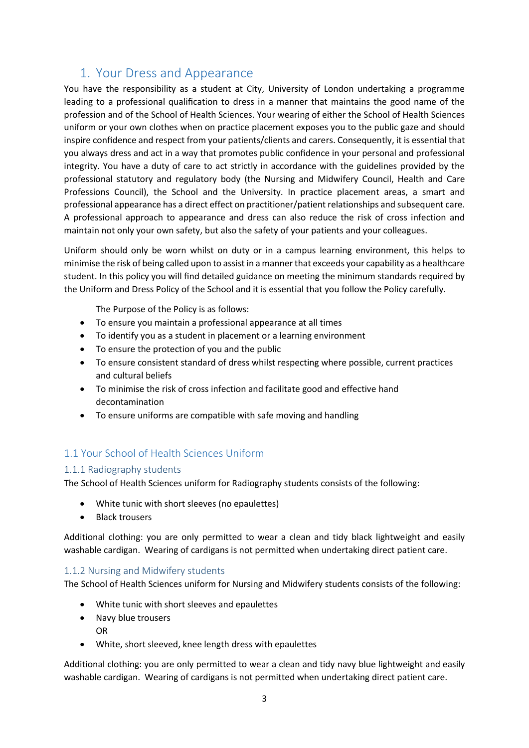## 1. Your Dress and Appearance

<span id="page-2-0"></span>You have the responsibility as a student at City, University of London undertaking a programme leading to a professional qualification to dress in a manner that maintains the good name of the profession and of the School of Health Sciences. Your wearing of either the School of Health Sciences uniform or your own clothes when on practice placement exposes you to the public gaze and should inspire confidence and respect from your patients/clients and carers. Consequently, it is essential that you always dress and act in a way that promotes public confidence in your personal and professional integrity. You have a duty of care to act strictly in accordance with the guidelines provided by the professional statutory and regulatory body (the Nursing and Midwifery Council, Health and Care Professions Council), the School and the University. In practice placement areas, a smart and professional appearance has a direct effect on practitioner/patient relationships and subsequent care. A professional approach to appearance and dress can also reduce the risk of cross infection and maintain not only your own safety, but also the safety of your patients and your colleagues.

Uniform should only be worn whilst on duty or in a campus learning environment, this helps to minimise the risk of being called upon to assist in a manner that exceeds your capability as a healthcare student. In this policy you will find detailed guidance on meeting the minimum standards required by the Uniform and Dress Policy of the School and it is essential that you follow the Policy carefully.

The Purpose of the Policy is as follows:

- To ensure you maintain a professional appearance at all times
- To identify you as a student in placement or a learning environment
- To ensure the protection of you and the public
- To ensure consistent standard of dress whilst respecting where possible, current practices and cultural beliefs
- To minimise the risk of cross infection and facilitate good and effective hand decontamination
- To ensure uniforms are compatible with safe moving and handling

#### <span id="page-2-1"></span>1.1 Your School of Health Sciences Uniform

#### <span id="page-2-2"></span>1.1.1 Radiography students

The School of Health Sciences uniform for Radiography students consists of the following:

- White tunic with short sleeves (no epaulettes)
- Black trousers

Additional clothing: you are only permitted to wear a clean and tidy black lightweight and easily washable cardigan. Wearing of cardigans is not permitted when undertaking direct patient care.

#### <span id="page-2-3"></span>1.1.2 Nursing and Midwifery students

The School of Health Sciences uniform for Nursing and Midwifery students consists of the following:

- White tunic with short sleeves and epaulettes
- Navy blue trousers
	- OR
- White, short sleeved, knee length dress with epaulettes

Additional clothing: you are only permitted to wear a clean and tidy navy blue lightweight and easily washable cardigan. Wearing of cardigans is not permitted when undertaking direct patient care.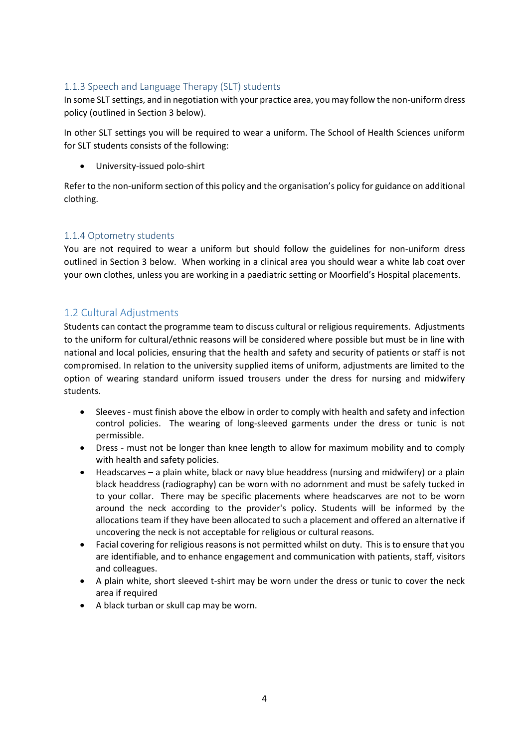#### <span id="page-3-0"></span>1.1.3 Speech and Language Therapy (SLT) students

In some SLT settings, and in negotiation with your practice area, you may follow the non-uniform dress policy (outlined in Section 3 below).

In other SLT settings you will be required to wear a uniform. The School of Health Sciences uniform for SLT students consists of the following:

• University-issued polo-shirt

Refer to the non-uniform section of this policy and the organisation's policy for guidance on additional clothing.

#### <span id="page-3-1"></span>1.1.4 Optometry students

You are not required to wear a uniform but should follow the guidelines for non-uniform dress outlined in Section 3 below. When working in a clinical area you should wear a white lab coat over your own clothes, unless you are working in a paediatric setting or Moorfield's Hospital placements.

### <span id="page-3-2"></span>1.2 Cultural Adjustments

Students can contact the programme team to discuss cultural or religious requirements. Adjustments to the uniform for cultural/ethnic reasons will be considered where possible but must be in line with national and local policies, ensuring that the health and safety and security of patients or staff is not compromised. In relation to the university supplied items of uniform, adjustments are limited to the option of wearing standard uniform issued trousers under the dress for nursing and midwifery students.

- Sleeves must finish above the elbow in order to comply with health and safety and infection control policies. The wearing of long-sleeved garments under the dress or tunic is not permissible.
- Dress must not be longer than knee length to allow for maximum mobility and to comply with health and safety policies.
- Headscarves a plain white, black or navy blue headdress (nursing and midwifery) or a plain black headdress (radiography) can be worn with no adornment and must be safely tucked in to your collar. There may be specific placements where headscarves are not to be worn around the neck according to the provider's policy. Students will be informed by the allocations team if they have been allocated to such a placement and offered an alternative if uncovering the neck is not acceptable for religious or cultural reasons.
- Facial covering for religious reasons is not permitted whilst on duty. This is to ensure that you are identifiable, and to enhance engagement and communication with patients, staff, visitors and colleagues.
- A plain white, short sleeved t-shirt may be worn under the dress or tunic to cover the neck area if required
- A black turban or skull cap may be worn.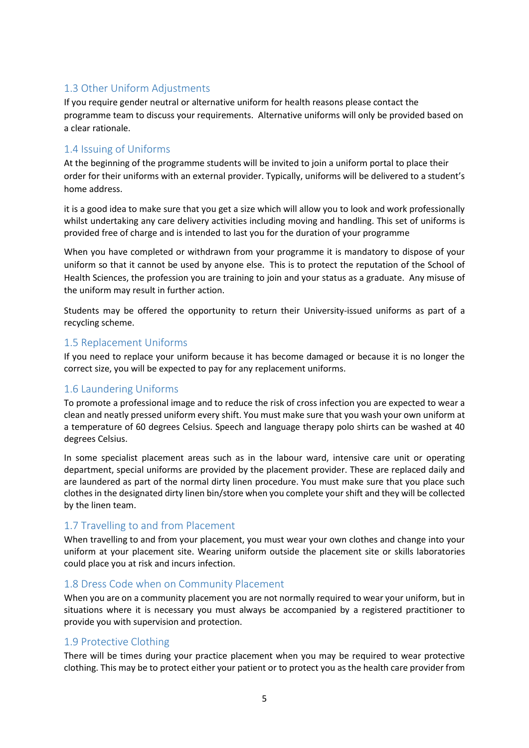## <span id="page-4-0"></span>1.3 Other Uniform Adjustments

If you require gender neutral or alternative uniform for health reasons please contact the programme team to discuss your requirements. Alternative uniforms will only be provided based on a clear rationale.

### <span id="page-4-1"></span>1.4 Issuing of Uniforms

At the beginning of the programme students will be invited to join a uniform portal to place their order for their uniforms with an external provider. Typically, uniforms will be delivered to a student's home address.

it is a good idea to make sure that you get a size which will allow you to look and work professionally whilst undertaking any care delivery activities including moving and handling. This set of uniforms is provided free of charge and is intended to last you for the duration of your programme

When you have completed or withdrawn from your programme it is mandatory to dispose of your uniform so that it cannot be used by anyone else. This is to protect the reputation of the School of Health Sciences, the profession you are training to join and your status as a graduate. Any misuse of the uniform may result in further action.

Students may be offered the opportunity to return their University-issued uniforms as part of a recycling scheme.

### <span id="page-4-2"></span>1.5 Replacement Uniforms

If you need to replace your uniform because it has become damaged or because it is no longer the correct size, you will be expected to pay for any replacement uniforms.

## <span id="page-4-3"></span>1.6 Laundering Uniforms

To promote a professional image and to reduce the risk of cross infection you are expected to wear a clean and neatly pressed uniform every shift. You must make sure that you wash your own uniform at a temperature of 60 degrees Celsius. Speech and language therapy polo shirts can be washed at 40 degrees Celsius.

In some specialist placement areas such as in the labour ward, intensive care unit or operating department, special uniforms are provided by the placement provider. These are replaced daily and are laundered as part of the normal dirty linen procedure. You must make sure that you place such clothes in the designated dirty linen bin/store when you complete your shift and they will be collected by the linen team.

## <span id="page-4-4"></span>1.7 Travelling to and from Placement

When travelling to and from your placement, you must wear your own clothes and change into your uniform at your placement site. Wearing uniform outside the placement site or skills laboratories could place you at risk and incurs infection.

#### <span id="page-4-5"></span>1.8 Dress Code when on Community Placement

When you are on a community placement you are not normally required to wear your uniform, but in situations where it is necessary you must always be accompanied by a registered practitioner to provide you with supervision and protection.

#### <span id="page-4-6"></span>1.9 Protective Clothing

There will be times during your practice placement when you may be required to wear protective clothing. This may be to protect either your patient or to protect you as the health care provider from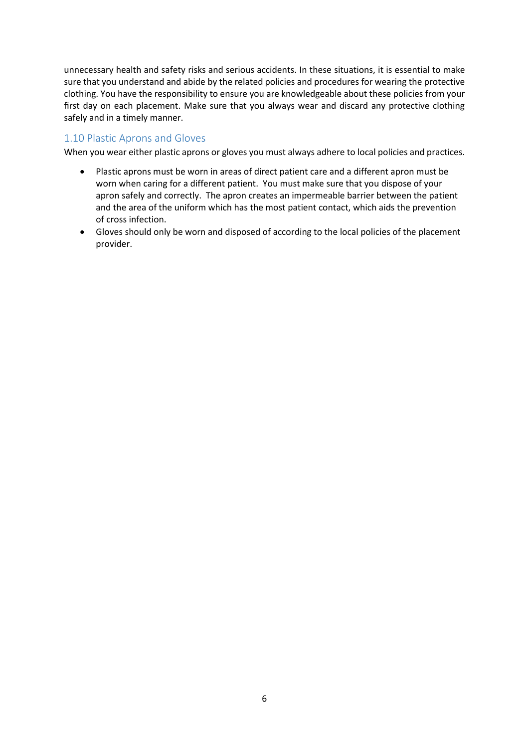unnecessary health and safety risks and serious accidents. In these situations, it is essential to make sure that you understand and abide by the related policies and procedures for wearing the protective clothing. You have the responsibility to ensure you are knowledgeable about these policies from your first day on each placement. Make sure that you always wear and discard any protective clothing safely and in a timely manner.

#### <span id="page-5-0"></span>1.10 Plastic Aprons and Gloves

When you wear either plastic aprons or gloves you must always adhere to local policies and practices.

- Plastic aprons must be worn in areas of direct patient care and a different apron must be worn when caring for a different patient. You must make sure that you dispose of your apron safely and correctly. The apron creates an impermeable barrier between the patient and the area of the uniform which has the most patient contact, which aids the prevention of cross infection.
- Gloves should only be worn and disposed of according to the local policies of the placement provider.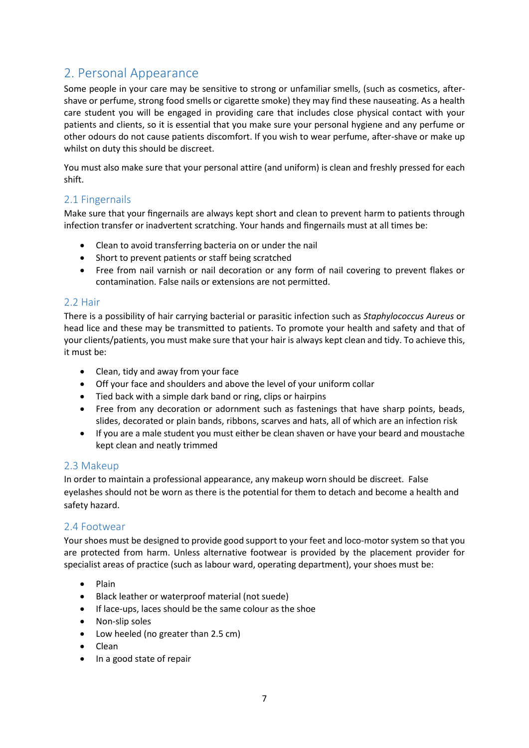# <span id="page-6-0"></span>2. Personal Appearance

Some people in your care may be sensitive to strong or unfamiliar smells, (such as cosmetics, aftershave or perfume, strong food smells or cigarette smoke) they may find these nauseating. As a health care student you will be engaged in providing care that includes close physical contact with your patients and clients, so it is essential that you make sure your personal hygiene and any perfume or other odours do not cause patients discomfort. If you wish to wear perfume, after-shave or make up whilst on duty this should be discreet.

You must also make sure that your personal attire (and uniform) is clean and freshly pressed for each shift.

#### <span id="page-6-1"></span>2.1 Fingernails

Make sure that your fingernails are always kept short and clean to prevent harm to patients through infection transfer or inadvertent scratching. Your hands and fingernails must at all times be:

- Clean to avoid transferring bacteria on or under the nail
- Short to prevent patients or staff being scratched
- Free from nail varnish or nail decoration or any form of nail covering to prevent flakes or contamination. False nails or extensions are not permitted.

#### <span id="page-6-2"></span>2.2 Hair

There is a possibility of hair carrying bacterial or parasitic infection such as *Staphylococcus Aureus* or head lice and these may be transmitted to patients. To promote your health and safety and that of your clients/patients, you must make sure that your hair is always kept clean and tidy. To achieve this, it must be:

- Clean, tidy and away from your face
- Off your face and shoulders and above the level of your uniform collar
- Tied back with a simple dark band or ring, clips or hairpins
- Free from any decoration or adornment such as fastenings that have sharp points, beads, slides, decorated or plain bands, ribbons, scarves and hats, all of which are an infection risk
- If you are a male student you must either be clean shaven or have your beard and moustache kept clean and neatly trimmed

#### <span id="page-6-3"></span>2.3 Makeup

In order to maintain a professional appearance, any makeup worn should be discreet. False eyelashes should not be worn as there is the potential for them to detach and become a health and safety hazard.

#### <span id="page-6-4"></span>2.4 Footwear

Your shoes must be designed to provide good support to your feet and loco-motor system so that you are protected from harm. Unless alternative footwear is provided by the placement provider for specialist areas of practice (such as labour ward, operating department), your shoes must be:

- Plain
- Black leather or waterproof material (not suede)
- If lace-ups, laces should be the same colour as the shoe
- Non-slip soles
- Low heeled (no greater than 2.5 cm)
- Clean
- In a good state of repair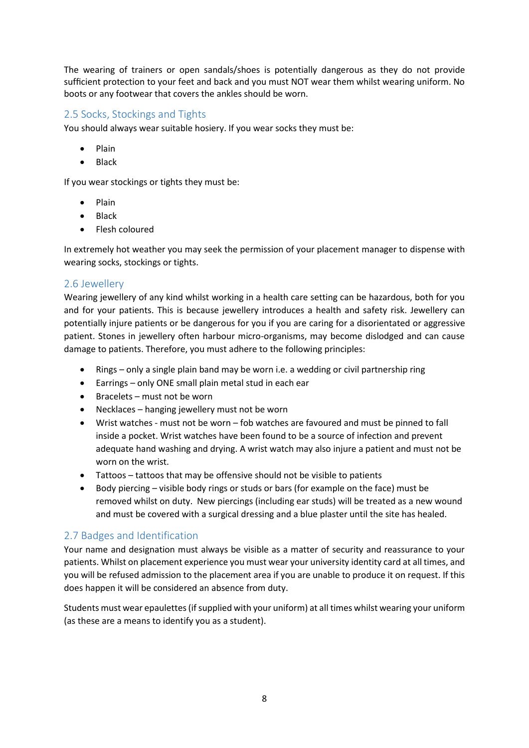The wearing of trainers or open sandals/shoes is potentially dangerous as they do not provide sufficient protection to your feet and back and you must NOT wear them whilst wearing uniform. No boots or any footwear that covers the ankles should be worn.

#### <span id="page-7-0"></span>2.5 Socks, Stockings and Tights

You should always wear suitable hosiery. If you wear socks they must be:

- Plain
- Black

If you wear stockings or tights they must be:

- Plain
- Black
- Flesh coloured

In extremely hot weather you may seek the permission of your placement manager to dispense with wearing socks, stockings or tights.

### <span id="page-7-1"></span>2.6 Jewellery

Wearing jewellery of any kind whilst working in a health care setting can be hazardous, both for you and for your patients. This is because jewellery introduces a health and safety risk. Jewellery can potentially injure patients or be dangerous for you if you are caring for a disorientated or aggressive patient. Stones in jewellery often harbour micro-organisms, may become dislodged and can cause damage to patients. Therefore, you must adhere to the following principles:

- Rings only a single plain band may be worn i.e. a wedding or civil partnership ring
- Earrings only ONE small plain metal stud in each ear
- Bracelets must not be worn
- Necklaces hanging jewellery must not be worn
- Wrist watches must not be worn fob watches are favoured and must be pinned to fall inside a pocket. Wrist watches have been found to be a source of infection and prevent adequate hand washing and drying. A wrist watch may also injure a patient and must not be worn on the wrist.
- Tattoos tattoos that may be offensive should not be visible to patients
- Body piercing visible body rings or studs or bars (for example on the face) must be removed whilst on duty. New piercings (including ear studs) will be treated as a new wound and must be covered with a surgical dressing and a blue plaster until the site has healed.

## <span id="page-7-2"></span>2.7 Badges and Identification

Your name and designation must always be visible as a matter of security and reassurance to your patients. Whilst on placement experience you must wear your university identity card at all times, and you will be refused admission to the placement area if you are unable to produce it on request. If this does happen it will be considered an absence from duty.

Students must wear epaulettes (if supplied with your uniform) at all times whilst wearing your uniform (as these are a means to identify you as a student).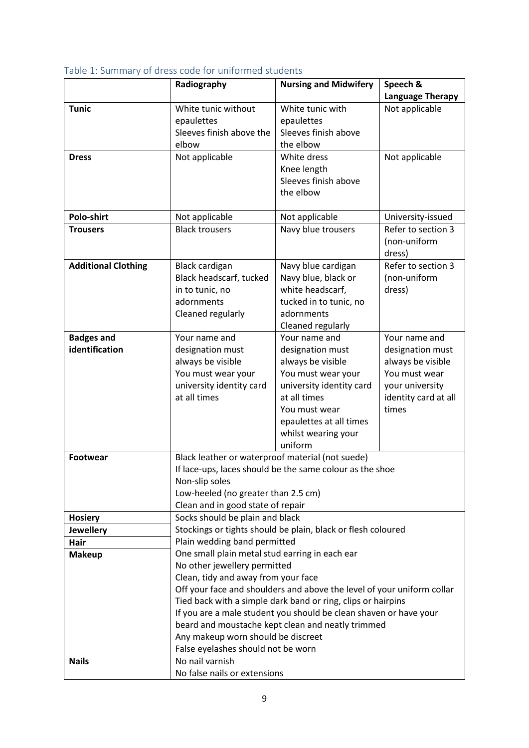|                                                   | Radiography                                                                                                                            | <b>Nursing and Midwifery</b>                                      | Speech &<br><b>Language Therapy</b> |  |
|---------------------------------------------------|----------------------------------------------------------------------------------------------------------------------------------------|-------------------------------------------------------------------|-------------------------------------|--|
| <b>Tunic</b>                                      | White tunic without                                                                                                                    | White tunic with                                                  | Not applicable                      |  |
|                                                   | epaulettes                                                                                                                             | epaulettes                                                        |                                     |  |
|                                                   | Sleeves finish above the                                                                                                               | Sleeves finish above                                              |                                     |  |
|                                                   | elbow                                                                                                                                  | the elbow                                                         |                                     |  |
| <b>Dress</b>                                      | Not applicable                                                                                                                         | White dress                                                       | Not applicable                      |  |
|                                                   |                                                                                                                                        | Knee length                                                       |                                     |  |
|                                                   |                                                                                                                                        | Sleeves finish above                                              |                                     |  |
|                                                   |                                                                                                                                        | the elbow                                                         |                                     |  |
|                                                   |                                                                                                                                        |                                                                   |                                     |  |
| Polo-shirt                                        | Not applicable                                                                                                                         | Not applicable                                                    | University-issued                   |  |
| <b>Trousers</b>                                   | <b>Black trousers</b>                                                                                                                  | Navy blue trousers                                                | Refer to section 3                  |  |
|                                                   |                                                                                                                                        |                                                                   | (non-uniform<br>dress)              |  |
| <b>Additional Clothing</b>                        | <b>Black cardigan</b>                                                                                                                  | Navy blue cardigan                                                | Refer to section 3                  |  |
|                                                   | Black headscarf, tucked                                                                                                                | Navy blue, black or                                               | (non-uniform                        |  |
|                                                   | in to tunic, no                                                                                                                        | white headscarf,                                                  | dress)                              |  |
|                                                   | adornments                                                                                                                             | tucked in to tunic, no                                            |                                     |  |
|                                                   | Cleaned regularly                                                                                                                      | adornments                                                        |                                     |  |
|                                                   |                                                                                                                                        | Cleaned regularly                                                 |                                     |  |
| <b>Badges and</b>                                 | Your name and                                                                                                                          | Your name and                                                     | Your name and                       |  |
| identification                                    | designation must                                                                                                                       | designation must                                                  | designation must                    |  |
|                                                   | always be visible                                                                                                                      | always be visible                                                 | always be visible                   |  |
|                                                   | You must wear your                                                                                                                     | You must wear your                                                | You must wear                       |  |
|                                                   | university identity card                                                                                                               | university identity card                                          | your university                     |  |
|                                                   | at all times                                                                                                                           | at all times                                                      | identity card at all                |  |
|                                                   |                                                                                                                                        | You must wear                                                     | times                               |  |
|                                                   |                                                                                                                                        | epaulettes at all times                                           |                                     |  |
|                                                   |                                                                                                                                        | whilst wearing your                                               |                                     |  |
|                                                   |                                                                                                                                        | uniform                                                           |                                     |  |
| <b>Footwear</b>                                   | Black leather or waterproof material (not suede)                                                                                       |                                                                   |                                     |  |
|                                                   |                                                                                                                                        | If lace-ups, laces should be the same colour as the shoe          |                                     |  |
|                                                   | Non-slip soles                                                                                                                         |                                                                   |                                     |  |
|                                                   | Low-heeled (no greater than 2.5 cm)                                                                                                    |                                                                   |                                     |  |
|                                                   | Clean and in good state of repair                                                                                                      |                                                                   |                                     |  |
| Socks should be plain and black<br><b>Hosiery</b> |                                                                                                                                        |                                                                   |                                     |  |
| <b>Jewellery</b>                                  | Stockings or tights should be plain, black or flesh coloured                                                                           |                                                                   |                                     |  |
| Hair                                              | Plain wedding band permitted                                                                                                           |                                                                   |                                     |  |
| <b>Makeup</b>                                     | One small plain metal stud earring in each ear<br>No other jewellery permitted                                                         |                                                                   |                                     |  |
|                                                   | Clean, tidy and away from your face                                                                                                    |                                                                   |                                     |  |
|                                                   |                                                                                                                                        |                                                                   |                                     |  |
|                                                   | Off your face and shoulders and above the level of your uniform collar<br>Tied back with a simple dark band or ring, clips or hairpins |                                                                   |                                     |  |
|                                                   |                                                                                                                                        | If you are a male student you should be clean shaven or have your |                                     |  |
|                                                   |                                                                                                                                        | beard and moustache kept clean and neatly trimmed                 |                                     |  |
|                                                   | Any makeup worn should be discreet                                                                                                     |                                                                   |                                     |  |
|                                                   | False eyelashes should not be worn                                                                                                     |                                                                   |                                     |  |
| <b>Nails</b>                                      | No nail varnish                                                                                                                        |                                                                   |                                     |  |
|                                                   | No false nails or extensions                                                                                                           |                                                                   |                                     |  |
|                                                   |                                                                                                                                        |                                                                   |                                     |  |

## <span id="page-8-0"></span>Table 1: Summary of dress code for uniformed students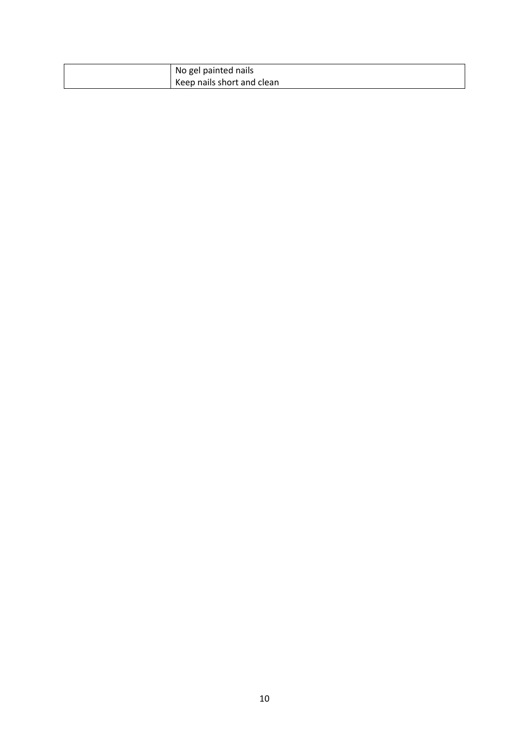| No gel painted nails       |
|----------------------------|
| Keep nails short and clean |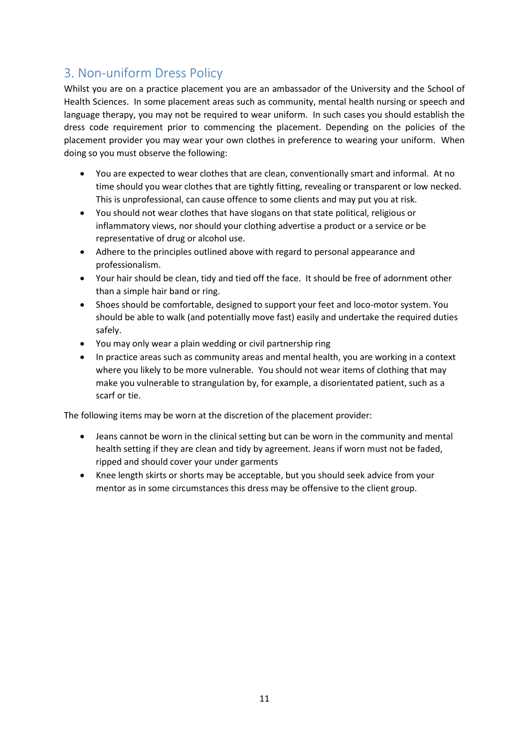# <span id="page-10-0"></span>3. Non-uniform Dress Policy

Whilst you are on a practice placement you are an ambassador of the University and the School of Health Sciences. In some placement areas such as community, mental health nursing or speech and language therapy, you may not be required to wear uniform. In such cases you should establish the dress code requirement prior to commencing the placement. Depending on the policies of the placement provider you may wear your own clothes in preference to wearing your uniform. When doing so you must observe the following:

- You are expected to wear clothes that are clean, conventionally smart and informal. At no time should you wear clothes that are tightly fitting, revealing or transparent or low necked. This is unprofessional, can cause offence to some clients and may put you at risk.
- You should not wear clothes that have slogans on that state political, religious or inflammatory views, nor should your clothing advertise a product or a service or be representative of drug or alcohol use.
- Adhere to the principles outlined above with regard to personal appearance and professionalism.
- Your hair should be clean, tidy and tied off the face. It should be free of adornment other than a simple hair band or ring.
- Shoes should be comfortable, designed to support your feet and loco-motor system. You should be able to walk (and potentially move fast) easily and undertake the required duties safely.
- You may only wear a plain wedding or civil partnership ring
- In practice areas such as community areas and mental health, you are working in a context where you likely to be more vulnerable. You should not wear items of clothing that may make you vulnerable to strangulation by, for example, a disorientated patient, such as a scarf or tie.

The following items may be worn at the discretion of the placement provider:

- Jeans cannot be worn in the clinical setting but can be worn in the community and mental health setting if they are clean and tidy by agreement. Jeans if worn must not be faded, ripped and should cover your under garments
- Knee length skirts or shorts may be acceptable, but you should seek advice from your mentor as in some circumstances this dress may be offensive to the client group.